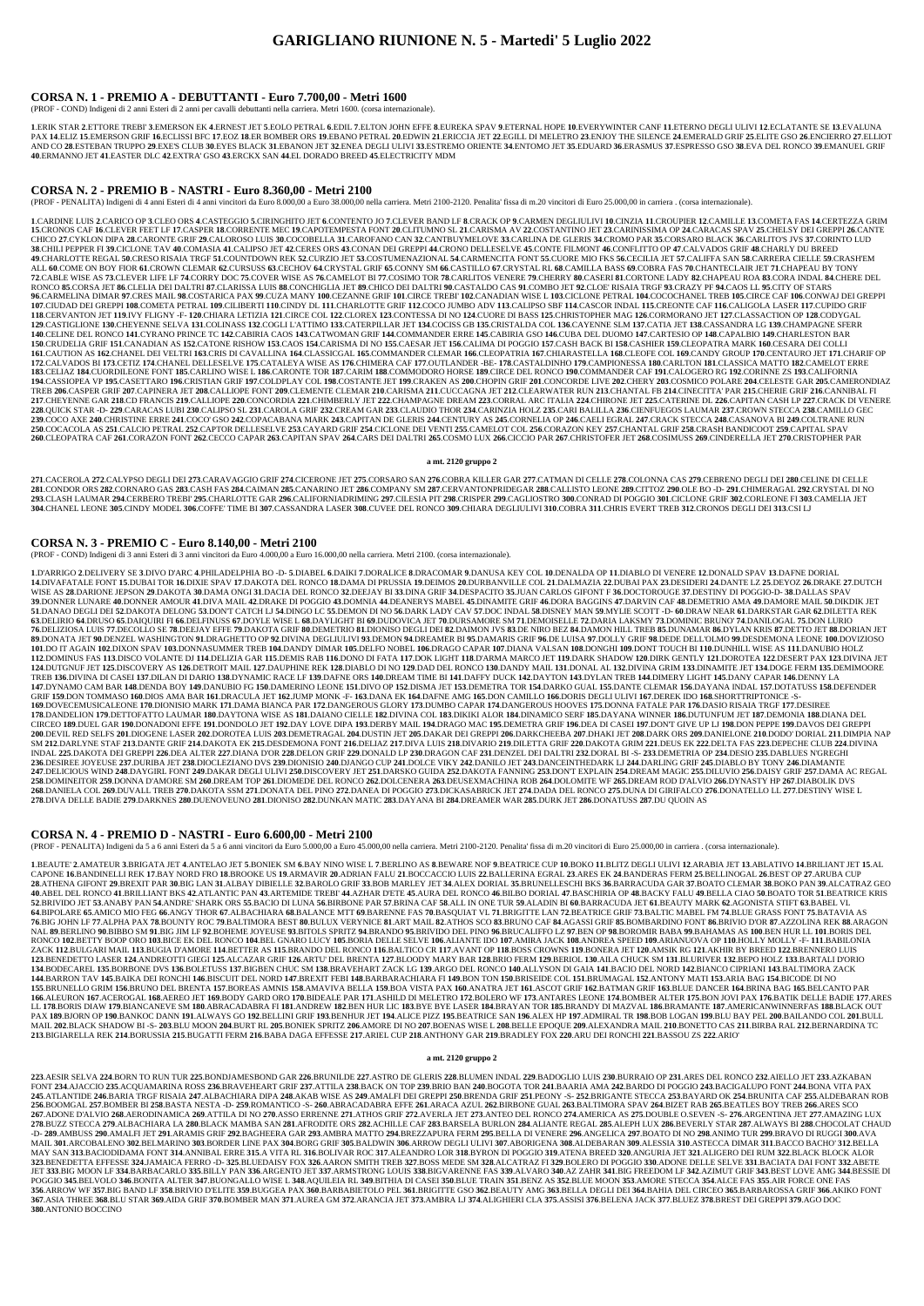## **CORSA N. 1 - PREMIO A - DEBUTTANTI - Euro 7.700,00 - Metri 1600**

(PROF - COND) Indigeni di 2 anni Esteri di 2 anni per cavalli debuttanti nella carriera. Metri 1600. (corsa internazionale).

1.ERIK STAR 2.ETTORE TREBI' 3.EMERSON EK 4.ERNEST JET 5.EOLO PETRAL 6.EDIL 7.ELTON JOHN EFFE 8.EUREKA SPAV 9.ETERNAL HOPE 10.EVERYWINTER CANF 11.ETERNO DEGLI ULIVI 12.ECLATANTE SE 13.EVALUNA PAX 14.ELIZ 15.EMERSON GRIF 16.ECLISSI BFC 17.EOZ 18.ER BOMBER ORS 19.EBANO PETRAL 20.EDWIN 21.ERICCIA JET 22.EGILL DI MELETRO 23.ENJOY THE SILENCE 24.EMERALD GRIF 25.ELITE GSO 26.ENCIERRO 27.ELLIOT AND CO 28.ESTEBAN TRUPPO 29.EXE'S CLUB 30.EYES BLACK 31.EBANON JET 32.ENEA DEGLI ULIVI 33.ESTREMO ORIENTE 34.ENTOMO JET 35.EDUARD 36.ERASMUS 37.ESPRESSO GSO 38.EVA DEL RONCO 39.EMANUEL GRIF **40**.ERMANNO JET **41**.EASTER DLC **42**.EXTRA' GSO **43**.ERCKX SAN **44**.EL DORADO BREED **45**.ELECTRICITY MDM

## **CORSA N. 2 - PREMIO B - NASTRI - Euro 8.360,00 - Metri 2100**

(PROF - PENALITA) Indigeni di 4 anni Esteri di 4 anni vincitori da Euro 8.000,00 a Euro 38.000,00 nella carriera. Metri 2100-2120. Penalita' fissa di m.20 vincitori di Euro 25.000,00 in carriera . (corsa internazionale).

1.CARDINE LUIS 2.CARICO OP 3.CLEO ORS 4.CASTEGGIO 5.CIRINGHITO JET 6.CONTENTO JO 7.CLEVER BAND LF 8.CRACK OP 9.CARMEN DEGLIULIVI 10.CINZIA 11.CROUPIER 12.CAMILLE 13.COMETA FAS 14.CERTEZZA GRIM 15.CRONOS CAF 16.CLEVER FEET LF 17.CASPER 18.CORRENTE MEC 19.CAPOTEMPESTA FONT 20.CLITUMNO SL 21.CARISMA AV 22.COSTANTINO JET 23.CARINISSIMA OP 24.CARACAS SPAV 25.CHELSY DEI GREPPI 26.CANTE CHICO 27.CYKLON DIPA 28.CARONTE GRIF 29.CALOROSO LUIS 30.COCOBELLA 31.CAROFANO CAN 32.CANTBUYMELOVE 33.CARLINA DE GLERIS 34.CROMO PAR 35.CORSARO BLACK 36.CARLITO'S JVS 37.CORINTO LUD 38. CHILI PEPPER FI 39. CICLONE TAV 40. COMASIA 41. CALIPSO JET 42. CERES ORS 43. CONAN DEI GREPPI 44. CRONO DELLESELVE 45. CONTE FILMONT 46. CONFLITTO OP 47. CALVADOS GRIF 48. CHARLY DU BREED 49.CHARLOTTE REGAL 50.CRESO RISAIA TRGF 51.COUNTDOWN REK 52.CURZIO JET 53.COSTUMENAZIONAL 54.CARMENCITA FONT 55.CUORE MIO FKS 56.CECILIA JET 57.CALIFFA SAN 58.CARRERA CIELLE 59.CRASH'EM ALL 60.COME ON BOY FIOR 61.CROWN CLEMAR 62.CURSUSS 63.CECHOV 64.CRYSTAL GRIF 65.CONNY SM 66.CASTILLO 67.CRYSTAL RL 68.CAMILLA BASS 69.COBRA FAS 70.CHANTECLAIR JET 71.CHAPEAU BY TONY 72.CABLE WISE AS 73.CLEVER LIFE LF 74.CORRY DOC 75.COVER WISE AS 76.CAMELOT BI 77.COSIMO TOR 78.CARLITOS VENERE 79.CHERRY 80.CASERI 81.CORTONE LADY 82.CHAPEAU ROA 83.CORA INDAL 84.CHERE DEL EXECUTE ALTRI ST.CLARISSA LUIS 88.CONCHIGLIA JET 89.CHICO DEI DALTRI 90.CASTALDO CAS 91.COMBO JET 92.CLOE RISAIA TRGF 93.CRAZY PF 94.CAOS LL 95.CTI Y OF STARS 96.CARMELINA DIMAR 97.CRES MAIL 98.COSTARICA PAX 99.CUZA MANY 100.CEZANNE GRIF 101.CIRCE TREBI' 102.CANADIAN WISE L 103.CICLONE PETRAL 104.COCOCHANEL TREB 105.CIRCE CAF 106.CONWAJ DEI GREPPI 107.CIUDAD DEI GREPPI 108.COMETA PETRAL 109.CILIBERTI 110.CINDY DL 111.CHARLOTTE GRIF 112.COCO JUMBO ADV 113.CALIPSO SBF 114.CASCOR INDAL 115.CREONTE CAF 116.CALIGOLA LASER 117.CUPIDO GRIF 118.CERVANTON JET 119.IVY FLIGNY -F- 120.CHIARA LETIZIA 121.CIRCE COL 122.CLOREX 123.CONTESSA DI NO 124.CUORE DI BASS 125.CHRISTOPHER MAG 126.CORMORANO JET 127.CLASSACTION OP 128.CODYGAL 129.CASTIGLIONE 130.CHEYENNE SELVA 131.COLINASS 132.COGLI L'ATTIMO 133.CATERPILLAR JET 134.COCISS GB 135.CRISTALDA COL 136.CAYENNE SLM 137.CATIA JET 138.CASSANDRA LG 139.CHAMPAGNE SFERR 140.CELINE DEL RONCO 141.CYRANO PRINCE TC 142.CABIRIA CAOS 143.CATWOMAN GRIF 144.COMMANDER ERRE 145.CABIRIA GSO 146.CUBA DEL DUOMO 147.CARTESIO OP 148.CAPALBIO 149.CHARLESTON BAR 150.CRUDELIA GRIF 151.CANADIAN AS 152.CATONE RISHOW 153.CAOS 154.CARISMA DI NO 155.CAESAR JET 156.CALIMA DI POGGIO 157.CASH BACK BI 158.CASHIER 159.CLEOPATRA MARK 160.CESARA DEI COLLI 161.CAUTION AS 162.CHANEL DEI VELTRI 163.CRIS DI CAVALLINA 164.CLASSICGAL 165.COMMANDER CLEMAR 166.CLEOPATRIA 167.CHIARASTELLA 168.CLEOFE COL 169.CANDY GROUP 170.CENTAURO JET 171.CHARIF OP 172.CALVADOS BI 173.CETIZ 174.CHANEL DELLESELVE 175.CATALEYA WISE AS 176.CHIMERA CAF 177.OUTLANDER -BE- 178.CASTALDINHO 179.CAMPIONESSA 180.CARLTON 181.CLASSICA MATTO 182.CAMELOT ERRE 183.CELIAZ 184.CUORDILEONE FONT 185.CARLINO WISE L 186.CARONTE TOR 187.CARIM 188.COMMODORO HORSE 189.CIRCE DEL RONCO 190.COMMANDER CAF 191.CALOGERO RG 192.CORINNE ZS 193.CALIFORNIA 194.CASSIOPEA VP 195.CASETTARO 196.CRISTIAN GRIF 197.COLDPLAY COL 198.COSTANTE JET 199.CRAKEN AS 200.CHOPIN GRIF 201.CONCORDE LIVE 202.CHERY 203.COSMICO POLARE 204.CELESTE GAR 205.CAMERONDIAZ TREB 206.CASPER GRIF 207.CAPINERA JET 208.CALLIOPE FONT 209.CLEMENTE CLEMAR 210.CARISMA 211.CUCCAGNA JET 212.CLEARWATER RUN 213.CHANTAL FB 214.CINECITTA' PAR 215.CHERIE GRIF 216.CANNIBAL FI 217.CHEYENNE GAR 218.CD FRANCIS 219.CALLIOPE 220.CONCORDIA 221.CHIMBERLY JET 222.CHAMPAGNE DREAM 223.CORRAL ARC ITALIA 224.CHIRONE JET 225.CATERINE DL 226.CAPITAN CASH LP 227.CRACK DI VENERE 228.QUICK STAR -D- 229.CARACAS LUBI 230.CALIPSO SL 231.CAROLA GRIF 232.CREAM GAR 233.CLAUDIO THOR 234.CARINZIA HOLZ 235.CARI BALILLA 236.CIENFUEGOS LAUMAR 237.CROWN STECCA 238.CAMILLO GEC 239.COCO AXE 240.CHRISTINE ERRE 241.COCO' GSO 242.COPACABANA MARK 243.CAPITAN DE GLERIS 244.CENTURY AS 245.CORNELIA OP 246.CAELI EGRAL 247.CRACK STECCA 248.CASANOVA BI 249.COLTRANE RUN 250.COCACOLA AS 251.CALCIO PETRAL 252.CAPTOR DELLESELVE 253.CAYARD GRIF 254.CICLONE DEI VENTI 255.CAMELOT COL 256.CORAZON KEY 257.CHANTAL GRIF 258.CRASH BANDICOOT 259.CAPITAL SPAV 260.CLEOPATRA CAF 261.CORAZON FONT 262.CECCO CAPAR 263.CAPITAN SPAV 264.CARS DEI DALTRI 265.COSMO LUX 266.CICCIO PAR 267.CHRISTOFER JET 268.COSIMUSS 269.CINDERELLA JET 270.CRISTOPHER PAR

1.D'ARRIGO 2.DELIVERY SE 3.DIVO D'ARC 4.PHILADELPHIA BO -D- 5.DIABEL 6.DAIKI 7.DORALICE 8.DRACOMAR 9.DANUSA KEY COL 10.DENALDA OP 11.DIABLO DI VENERE 12.DONALD SPAV 13.DAFNE DORIAL 14.DIVAFATALE FONT 15.DUBAI TOR 16.DIXIE SPAV 17.DAKOTA DEL RONCO 18.DAMA DI PRUSSIA 19.DEIMOS 20.DURBANVILLE COL 21.DALMAZIA 22.DUBAI PAX 23.DESIDERI 24.DANTE LZ 25.DEYOZ 26.DRAKE 27.DUTCH WISE AS 28.DARIONE JEPSON 29.DAKOTA 30.DAMA ONGI 31.DACIA DEL RONCO 32.DEEJAY BI 33.DINA GRIF 34.DESPACITO 35.JUAN CARLOS GIFONT F 36.DOCTOROUGE 37.DESTINY DI POGGIO-D-38.DALLAS SPAV 39.DONNER LUNARE 40.DONNER AMOUR 41.DIVA MAIL 42.DRAKE DI POGGIO 43.DOMNIA 44.DEANERYS MABEL 45.DINAMITE GRIF 46.DORA BAGGINS 47.DARVIN CAF 48.DEMETRIO AMA 49.DAMORE MAIL 50.DIKDIK JET 51.DANAO DEGLI DEI 52.DAKOTA DELONG 53.DONT CATCH LI 54.DINGO LC 55.DEMON DI NO 56.DARK LADY CAV 57.DOC INDAL 58.DISNEY MAN 59.MYLIE SCOTT -D- 60.DRAW NEAR 61.DARKSTAR GAR 62.DILETTA REK 63.DELIRIO 64.DRUSO 65.DAIQUIRI FI 66.DELFINUSS 67.DOYLE WISE L 68.DAYLIGHT BI 69.DUDOVICA JET 70.DURSAMORE SM 71.DEMOISELLE 72.DARIA LAKSMY 73.DOMINIC BRUNO'74.DANILOGAL 75.DON LURIO 76.DELIZIOSA LUIS 77.DECOLLO SE 78.DEEJAY EFFE 79.DAKOTA GRIF 80.DEMETRIO 81.DIONISO DEGLI DEI 82.DAIMON JVS 83.DE NIRO BEZ 84.DAMON HILL TREB 85.DUNAMAR 86.DYLAN KRIS 87.DETTO JET 88.DORIAN JET 89.DONATA JET 90.DENZEL WASHINGTON 91.DRAGHETTO OP 92.DIVINA DEGLIULIVI 93.DEMON 94.DREAMER BI 95.DAMARIS GRIF 96.DE LUISA 97.DOLLY GRIF 98.DEDE DELL'OLMO 99.DESDEMONA LEONE 100.DOVIZIOSO 101.DO IT AGAIN 102.DIXON SPAV 103.DONNASUMMER TREB 104.DANDY DIMAR 105.DELFO NOBEL 106.DRAGO CAPAR 107.DIANA VALSAN 108.DONGHI 109.DONT TOUCH BI 110.DUNHILL WISE AS 111.DANUBIO HOLZ 112.DOMINUS FAS 113.DISCO VOLANTE DJ 114.DELIZIA GAR 115.DEMIS RAB 116.DONO DI FATA 117.DOK LIGHT 118.D'ARMA MARCO JET 119.DARK SHADOW 120.DIRK GENTLY 121.DOROTEA 122.DESERT PAX 123.DIVINA JET 124.DUTGNUF JET 125.DISCOVERY AS 126.DETROIT MAIL 127.DAUPHINE REK 128.DIABLO DI NO 129.DAD DEL RONCO 130.DANDY MAIL 131.DONAL AL 132.DIVINA GRIM 133.DINAMITE JET 134.DOGE FERM 135.DEMIMOORE TREB 136.DIVINA DI CASEI 137.DILAN DI DARIO 138.DYNAMIC RACE LF 139.DAFNE ORS 140.DREAM TIME BI 141.DAFFY DUCK 142.DAYTON 143.DYLAN TREB 144.DIMERY LIGHT 145.DANY CAPAR 146.DENNY LA 147.DYNAMO CAM BAR 148.DENDA BOY 149.DANUBIO FG 150.DAMERINO LEONE 151.DIVO OP 152.DISMA JET 153.DEMETRA TOR 154.DARKO GUAL 155.DANTE CLEMAR 156.DAYANA INDAL 157.DOTATUSS 158.DEFENDER GRIF 159.DON TOMMASO 160.DIOS AMA BAR 161.DRACULA JET 162.JUMP MONK -F- 163.DANA EK 164.DAFNE AMG 165.DON CAMILLO 166.DORIS DEGLI ULIVI 167.DEREK IDO 168.SHORTTRIPTONICE -S-169.DOVECEMUSICALEONE 170.DIONISIO MARK 171.DAMA BIANCA PAR 172.DANGEROUS GLORY 173.DUMBO CAPAR 174.DANGEROUS HOOVES 175.DONNA FATALE PAR 176.DASIO RISAIA TRGF 177.DESIREE 178.DANDELION 179.DETTOFATTO LAUMAR 180.DAYTONA WISE AS 181.DAIANO CIELLE 182.DIVINA COL 183.DIKIKI ALOR 184.DINAMICO SERF 185.DAYANA WINNER 186.DUTUNFUM JET 187.DEMONIA 188.DIANA DEL CIRCEO 189.DUEL GAR 190.DONADONI EFFE 191.DONDOLO JET 192.DAY LOVE DIPA 193.DERBY MAIL 194.DRAGO MAC 195.DEMETRA GRIF 196.DEA DI CASEI 197.DONT GIVE UP LJ 198.DON PEPPE 199.DAVOS DEI GREPPI 200.DEVIL RED SELFS 201.DIOGENE LASER 202.DOROTEA LUIS 203.DEMETRAGAL 204.DUSTIN JET 205.DAKAR DEI GREPPI 206.DARKCHEEBA 207.DHAKI JET 208.DARK ORS 209.DANIELONE 210.DODO' DORIAL 211.DIMPIA NAP SM 212.DARLYNE STAF 213.DANTE GRIF 214.DAKOTA EK 215.DESDEMONA FONT 216.DELIAZ 217.DIVA LUIS 218.DIVARIO 219.DILETTA GRIF 220.DAKOTA GRIM 221.DEUS EK 222.DELTA FAS 223.DEPECHE CLUB 224.DIVINA INDAL 225.DAKOTA DEI GREPPI 226.DEA ALTER 227.DIANA D'OR 228.DELON GRIF 229.DONALD LP 230.DRAGON CAF 231.DENZEL DEI DALTRI 232.DORAL BI -S- 233.DEMETRIA OP 234.DESIO 235.DABLUES N'GREGHI 236.DESIREE JOYEUSE 237.DURIBA JET 238.DIOCLEZIANO DVS 239.DIONISIO 240.DJANGO CUP 241.DOLCE VIKY 242.DANILO JET 243.DANCEINTHEDARK LJ 244.DARLING GRIF 245.DIABLO BY TONY 246.DIAMANTE 247.DELICIOUS WIND 248.DAYGIRL FONT 249.DAKAR DEGLI ULIVI 250.DISCOVERY JET 251.DARSKO GUIDA 252.DAKOTA FANNING 253.DON'T EXPLAIN 254.DREAM MAGIC 255.DILUVIO 256.DAISY GRIF 257.DAMA AC REGAL 258.DOMINEITOR 259.DONNA D'AMORE SM 260.DREAM TOP 261.DIOMEDE DEL RONCO 262.DOLCENERA 263.DEUSEXMACHINA ROB 264.DOLOMITE WF 265.DREAM ROD D'ALVIO 266.DYNASTY HP 267.DIABOLIK DVS 268.DANIELA COL 269.DUVALL TREB 270.DAKOTA SSM 271.DONATA DEL PINO 272.DANEA DI POGGIO 273.DICKASABRICK JET 274.DADA DEL RONCO 275.DUNA DI GIRIFALCO 276.DONATELLO LL 277.DESTINY WISE L **278**.DIVA DELLE BADIE **279**.DARKNES **280**.DUENOVEUNO **281**.DIONISO **282**.DUNKAN MATIC **283**.DAYANA BI **284**.DREAMER WAR **285**.DURK JET **286**.DONATUSS **287**.DU QUOIN AS

#### **a mt. 2120 gruppo 2**

271. CACEROLA 272. CALYPSO DEGLI DEI 273. CARAVAGGIO GRIF 274. CICERONE JET 275. CORSARO SAN 276. COBRA KILLER GAR 277. CATMAN DI CELLE 278. COLONNA CAS 279. CEBRENO DEGLI DEI 280. CELINE DI CELLE 281.CONDOR ORS 282.CORNARO GAS 283.CASH FAS 284.CAIMAN 285.CANARINO JET 286.COMPANY SM 287.CERVANTONPRIDEGAR 288.CALLISTO LEONE 289.CITTOZ 290.OLE BO -D- 291.CHIMERAGAL 292.CRYSTAL DI NO 293.CLASH LAUMAR 294.CERBERO TREBI' 295.CHARLOTTE GAR 296.CALIFORNIADRIMING 297.CILESIA PIT 298.CRISPER 299.CAGLIOSTRO 300.CONRAD DI POGGIO 301.CICLONE GRIF 302.CORLEONE FI 303.CAMELIA JET 304 CHANEL LEONE 305 CINDY MODEL 306 COFFE' TIME BI 307 CASSANDRA LASER 308 CUVEE DEL RONCO 309 CHIARA DEGLIULIVI 310 COBRA 311 CHRIS EVERT TREB 312 CRONOS DEGLI DEI 313 CSI LJ

## **CORSA N. 3 - PREMIO C - Euro 8.140,00 - Metri 2100**

(PROF - COND) Indigeni di 3 anni Esteri di 3 anni vincitori da Euro 4.000,00 a Euro 16.000,00 nella carriera. Metri 2100. (corsa internazionale).

223.AESIR SELVA 224.BORN TO RUN TUR 225.BONDJAMESBOND GAR 226.BRUNILDE 227.ASTRO DE GLERIS 228.BLUMEN INDAL 229.BADOGLIO LUIS 230.BURRAIO OP 231.ARES DEL RONCO 232.AIELLO JET 233.AZKABAN FONT 234.AJACCIO 235.ACQUAMARINA ROSS 236.BRAVEHEART GRIF 237.ATTILA 238.BACK ON TOP 239.BRIO BAN 240.BOGOTA TOR 241.BAARIA AMA 242.BARDO DI POGGIO 243.BACIGALUPO FONT 244.BONA VITA PAX 245.ATLANTIDE 246.BARIA TRGF RISAIA 247.ALBACHIARA DIPA 248.AKAB WISE AS 249.AMALFI DEI GREPPI 250.BRENDA GRIF 251.PEONY -S- 252.BRIGANTE STECCA 253.BAYARD OK 254.BRUNITA CAF 255.ALDEBARAN ROB 256.BOOMGAL 257.BOMBER BI 258.BASTA NESTA -D- 259.ROMANTICO -S- 260.ABRACADABRA EFFE 261.ARACA AZUL 262.BIRBONE GUAL 263.BALTIMORA SPAV 264.BIZET RAB 265.BEATLES BOY TREB 266.ARES SCO 267.ADONE D'ALVIO 268.AERODINAMICA 269.ATTILA DI NO 270.ASSO ERRENNE 271.ATHOS GRIF 272.AVERLA JET 273.ANTEO DEL RONCO 274.AMERICA AS 275.DOUBLE O.SEVEN -S- 276.ARGENTINA JET 277.AMAZING LUX 278.BUZZ STECCA 279.ALBACHIARA LA 280.BLACK MAMBA SAN 281.AFRODITE ORS 282.ACHILLE CAF 283.BARSELA BURLON 284.ALIANTE REGAL 285.ALEPH LUX 286.BEVERLY STAR 287.ALWAYS BI 288.CHOCOLAT CHAUD -D-289 AMBUSS 290 AMALELIET 291 ARAMIS GRIF 292 BAGHEERA GAR 293 AMBRA MATTO 294 BREZZAPURA FERM 295 BELLA DI VENERE 296 ANGELICA 297 BOATO DI NO 298 ANIMO TUR 299 BRAVO DI RUGGI 300 AVA MAIL 301.ARCOBALENO 302.BELMARINO 303.BORDER LINE PAX 304.BORG GRIF 305.BALDWIN 306.ARROW DEGLI ULIVI 307.ABORIGENA 308.ALDEBARAN 309.ALESSIA 310.ASTECCA DIMAR 311.BACCO BACHO'312.BELLA MAY SAN 313.BACIODIDAMA FONT 314.ANNIBAL ERRE 315.A VITA RL 316.BOLIVAR ROC 317.ALEANDRO LOR 318.BYRON DI POGGIO 319.ATENA BREED 320.ANGURIA JET 321.ALIGERO DEI RUM 322.BLACK BLOCK ALOR 323.BENEDETTA EFFESSE 324.JAMAICA FERRO -D- 325.BLUEDAISY FOX 326.AARON SMITH TREB 327.BOSS MEDE SM 328.ALCATRAZ FI 329.BOLERO DI POGGIO 330.ADONE DELLE SELVE 331.BACIATA DAI FONT 332.ABETE JET 333.BIG MOON LF 334.BARBACARLO 335.BILLY PAN 336.ARGENTO JET 337.ARMSTRONG LOUIS 338.BIGVARENNE FAS 339.ALVARO 340.AZ ZAHR 341.BIG FREEDOM LF 342.AZIMUT GRIF 343.BEST LOVE AMG 344.BESSIE DI POGGIO 345.BELVOLO 346.BONITA ALTER 347.BUONGALLO WISE L 348.AQUILEIA RL 349.BITHIA DI CASEI 350.BLUE TRAIN 351.BENZ AS 352.BLUE MOON 353.AMORE STECCA 354.ALCE FAS 355.AIR FORCE ONE FAS 356.ARROW WF 357.BIG BAND LF 358.BRIVIO D'ELITE 359.BUGGEA PAX 360.BARBABIETOLO PEL 361.BRIGITTE GSO 362.BEAUTY AMG 363.BELLA DEGLI DEI 364.BAHIA DEL CIRCEO 365.BARBAROSSA GRIF 366.AKIKO FONT 367.ASIA THREE 368.BLU STAR 369.AIDA GRIF 370.BOMBER MAN 371.AUREA GM 372.ARANCIA JET 373.AMBRA LJ 374.ALIGHIERI CLA 375.ASSISI 376.BELENA JACK 377.BLUEZ 378.BREST DEI GREPPI 379.AGO DOC **380**.ANTONIO BOCCINO

## **CORSA N. 4 - PREMIO D - NASTRI - Euro 6.600,00 - Metri 2100**

(PROF - PENALITA) Indigeni da 5 a 6 anni Esteri da 5 a 6 anni vincitori da Euro 5.000,00 a Euro 45.000,00 nella carriera. Metri 2100-2120. Penalita' fissa di m.20 vincitori di Euro 25.000,00 in carriera. (corsa internazion

1.BEAUTE' 2.AMATEUR 3.BRIGATA JET 4.ANTELAO JET 5.BONIEK SM 6.BAY NINO WISE L 7.BERLINO AS 8.BEWARE NOF 9.BEATRICE CUP 10.BOKO 11.BLITZ DEGLI ULIVI 12.ARABIA JET 13.ABLATIVO 14.BRILIANT JET 15.AL CAPONE 16.BANDINELLI REK 17.BAY NORD FRO 18.BROOKE US 19.ARMAVIR 20.ADRIAN FALU 21.BOCCACCIO LUIS 22.BALLERINA EGRAL 23.ARES EK 24.BANDERAS FERM 25.BELLINOGAL 26.BEST OP 27.ARUBA CUP 28.ATHENA GIFONT 29.BREXIT PAR 30.BIG LAN 31.ALBAY DIBIELLE 32.BAROLO GRIF 33.BOB MARLEY JET 34.ALEX DORIAL 35.BRUNELLESCHI BKS 36.BARRACUDA GAR 37.BOATO CLEMAR 38.BOKO PAN 39.ALCATRAZ GEO 40.ABEL DEL RONCO 41.BRILLIANT BKS 42.ATLANTIC PAN 43.ARTEMIDE TREBI' 44.AZHAR DETE 45.AURA DEL RONCO 46.BILBO DORIAL 47.BASCHIRIA OP 48.BACKY FALU 49.BELLA CIAO 50.BOATO TOR 51.BEATRICE KRIS 52.BRIVIDO JET 53.ANABY PAN 54.ANDRE' SHARK ORS 55.BACIO DI LUNA 56.BIRBONE PAR 57.BRINA CAF 58.ALL IN ONE TUR 59.ALADIN BI 60.BARRACUDA JET 61.BEAUTY MARK 62.AGONISTA STIFT 63.BABEL VL 64.BIPOLARE 65.AMICO MIO FEG 66.ANGY THOR 67.ALBACHIARA 68.BALANCE MTT 69.BARENNE FAS 70.BASQUIAT VL 71.BRIGITTE LAN 72.BEATRICE GRIF 73.BALTIC MABEL FM 74.BLUE GRASS FONT 75.BATAVIA AS 76.BIG JOHN LF 77.ALPHA PAX 78.BOUNTY ROC 79.BALTIMORA BEST 80.BULUX VERYNICE 81.ART MAIL 82.ATHOS SCO 83.BRUNO CAF 84.AGASSI GRIF 85.BOMBARDINO FONT 86.BRIVIO D'OR 87.AZZOLINA REK 88.ARAGON NAL 89.BERLINO 90.BIBBO SM 91.BIG JIM LF 92.BOHEME JOYEUSE 93.BITOLS SPRITZ 94.BRANDO 95.BRIVIDO DEL PINO 96.BRUCALIFFO LZ 97.BEN OP 98.BOROMIR BABA 99.BAHAMAS AS 100.BEN HUR LL 101.BORIS DEL RONCO 102.BETTY BOOP ORO 103.BICE EK DEL RONCO 104.BEL GNARO LUCY 105.BORIA DELLE SELVE 106.ALIANTE IDO 107.AMIRA JACK 108.ANDREA SPEED 109.ARIANUOVA OP 110.HOLLY MOLLY -F- 111.BABILONIA ZACK 112.BULGARI MAIL 113.BUGIA D'AMORE 114.BETTER AS 115.BRANDO DEL RONCO 116.BALTICO CR 117.AVANT OP 118.BOSS CROWNS 119.BONERA JET 120.AMSIK RG 121.AKHIR BY BREED 122.BRENNERO LUIS 123.BENEDETTO LASER 124.ANDREOTTI GIEGI 125.ALCAZAR GRIF 126.ARTU' DEL BRENTA 127.BLOODY MARY BAR 128.BRIO FERM 129.BERIOL 130.AILA CHUCK SM 131.BLURIVER 132.BEPO HOLZ 133.BARTALI D'ORIO 134.BODECAREL 135.BORBONE DVS 136.BOLETUSS 137.BIGBEN CHUC SM 138.BRAVEHART ZACK LG 139.ARGO DEL RONCO 140.ALLYSON DI GAIA 141.BACIO DEL NORD 142.BIANCO CIPRIANI 143.BALTIMORA ZACK 144.BARRON TAV 145.BAIKA DEI RONCHI 146.BISCUIT DEL NORD 147.BREXIT FEBI 148.BARBARACHIARA FI 149.BON TON 150.BRISEIDE COL 151.BRUMAGAL 152.ANTONY MATI 153.ARIA BAG 154.BICODE DI NO 155.BRUNELLO GRIM 156.BRUNO DEL BRENTA 157.BOREAS AMNIS 158.AMAVIVA BELLA 159.BOA VISTA PAX 160.ANATRA JET 161.ASCOT GRIF 162.BATMAN GRIF 163.BLUE DANCER 164.BRINA BAG 165.BELCANTO PAR 166.ALEURON 167.ACEROGAL 168.AEREO JET 169.BODY GARD ORO 170.BIDEALE PAR 171.ASHILD DI MELETRO 172.BOLERO WF 173.ANTARES LEONE 174.BOMBER ALTER 175.BON JOVI PAX 176.BATIK DELLE BADIE 177.ARES LL 178.BORIS DIAW 179.BIANCANEVE SM 180.ABRACADABRA FI 181.ANDREW 182.BEN HUR LIC 183.BYE BYE LASER 184.BRAYAN TOR 185.BRANDY DI MAZVAL 186.BRAMANTE 187.AMERICANWINNERFAS 188.BLACK OUT PAX 189.BJORN OP 190.BANKOC DANN 191.ALWAYS GO 192.BELLINI GRIF 193.BENHUR JET 194.ALICE PIZZ 195.BEATRICE SAN 196.ALEX HP 197.ADMIRAL TR 198.BOB LOGAN 199.BLU BAY PEL 200.BAILANDO COL 201.BULL MAIL 202.BLACK SHADOW BI -S- 203.BLU MOON 204.BURT RL 205.BONIEK SPRITZ 206.AMORE DI NO 207.BOENAS WISE L 208.BELLE EPOQUE 209.ALEXANDRA MAIL 210.BONETTO CAS 211.BIRBA RAL 212.BERNARDINA TC 213.BIGIARELLA REK 214.BORUSSIA 215.BUGATTI FERM 216.BABA DAGA EFFESSE 217.ARIEL CUP 218.ANTHONY GAR 219.BRADLEY FOX 220.ARU DEI RONCHI 221.BASSOU ZS 222.ARIO'

#### **a mt. 2120 gruppo 2**